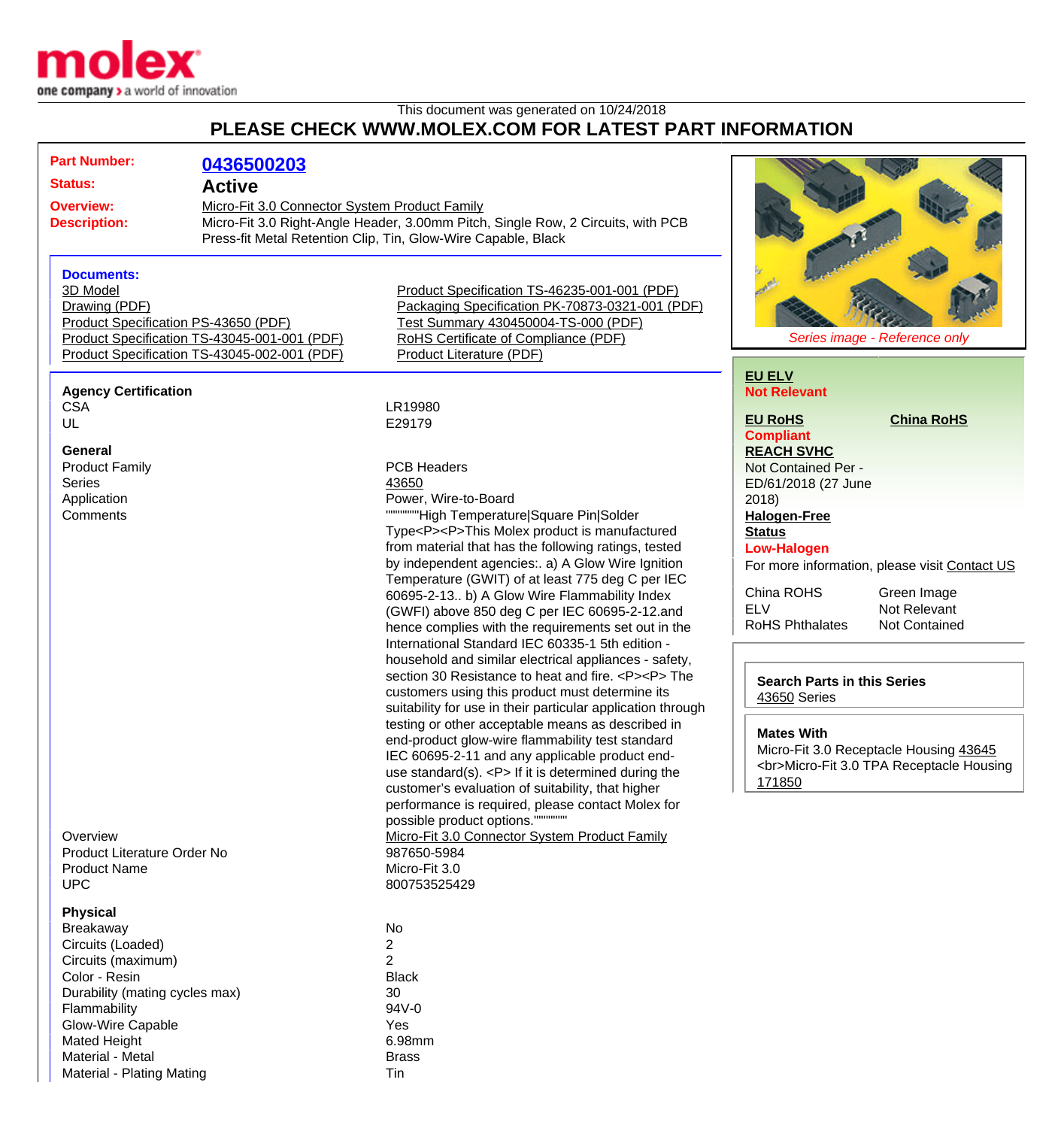

## This document was generated on 10/24/2018 **PLEASE CHECK WWW.MOLEX.COM FOR LATEST PART INFORMATION**

| <b>Part Number:</b>                                                                                                                                                                                                                                   | 0436500203                                                                                                                                                                                                          |                                                                                                                                                                                                                                                                                                                                                                                                                                                                                                                                                                                                                                                                                                                                                                                                                                                                                                                                                                                                                                                                                                 |                                                                                                                                                                                                                                                                                                                                                                                                                                                                                                    |  |
|-------------------------------------------------------------------------------------------------------------------------------------------------------------------------------------------------------------------------------------------------------|---------------------------------------------------------------------------------------------------------------------------------------------------------------------------------------------------------------------|-------------------------------------------------------------------------------------------------------------------------------------------------------------------------------------------------------------------------------------------------------------------------------------------------------------------------------------------------------------------------------------------------------------------------------------------------------------------------------------------------------------------------------------------------------------------------------------------------------------------------------------------------------------------------------------------------------------------------------------------------------------------------------------------------------------------------------------------------------------------------------------------------------------------------------------------------------------------------------------------------------------------------------------------------------------------------------------------------|----------------------------------------------------------------------------------------------------------------------------------------------------------------------------------------------------------------------------------------------------------------------------------------------------------------------------------------------------------------------------------------------------------------------------------------------------------------------------------------------------|--|
| <b>Status:</b>                                                                                                                                                                                                                                        | <b>Active</b><br>Micro-Fit 3.0 Connector System Product Family<br>Micro-Fit 3.0 Right-Angle Header, 3.00mm Pitch, Single Row, 2 Circuits, with PCB<br>Press-fit Metal Retention Clip, Tin, Glow-Wire Capable, Black |                                                                                                                                                                                                                                                                                                                                                                                                                                                                                                                                                                                                                                                                                                                                                                                                                                                                                                                                                                                                                                                                                                 |                                                                                                                                                                                                                                                                                                                                                                                                                                                                                                    |  |
| <b>Overview:</b><br><b>Description:</b>                                                                                                                                                                                                               |                                                                                                                                                                                                                     |                                                                                                                                                                                                                                                                                                                                                                                                                                                                                                                                                                                                                                                                                                                                                                                                                                                                                                                                                                                                                                                                                                 |                                                                                                                                                                                                                                                                                                                                                                                                                                                                                                    |  |
| <b>Documents:</b><br>3D Model<br>Drawing (PDF)                                                                                                                                                                                                        | Product Specification PS-43650 (PDF)<br>Product Specification TS-43045-001-001 (PDF)<br>Product Specification TS-43045-002-001 (PDF)                                                                                | Product Specification TS-46235-001-001 (PDF)<br>Packaging Specification PK-70873-0321-001 (PDF)<br>Test Summary 430450004-TS-000 (PDF)<br>RoHS Certificate of Compliance (PDF)<br><b>Product Literature (PDF)</b>                                                                                                                                                                                                                                                                                                                                                                                                                                                                                                                                                                                                                                                                                                                                                                                                                                                                               | Series image - Reference only                                                                                                                                                                                                                                                                                                                                                                                                                                                                      |  |
| <b>Agency Certification</b><br><b>CSA</b>                                                                                                                                                                                                             |                                                                                                                                                                                                                     | LR19980                                                                                                                                                                                                                                                                                                                                                                                                                                                                                                                                                                                                                                                                                                                                                                                                                                                                                                                                                                                                                                                                                         | <b>EU ELV</b><br><b>Not Relevant</b><br><b>EU RoHS</b><br><b>China RoHS</b>                                                                                                                                                                                                                                                                                                                                                                                                                        |  |
| UL<br>General<br><b>Product Family</b><br><b>Series</b><br>Application<br>Comments                                                                                                                                                                    |                                                                                                                                                                                                                     | E29179<br><b>PCB Headers</b><br>43650<br>Power, Wire-to-Board<br>""""""High Temperature Square Pin Solder<br>Type <p><p>This Molex product is manufactured<br/>from material that has the following ratings, tested<br/>by independent agencies:. a) A Glow Wire Ignition<br/>Temperature (GWIT) of at least 775 deg C per IEC<br/>60695-2-13 b) A Glow Wire Flammability Index<br/>(GWFI) above 850 deg C per IEC 60695-2-12.and<br/>hence complies with the requirements set out in the<br/>International Standard IEC 60335-1 5th edition -<br/>household and similar electrical appliances - safety,<br/>section 30 Resistance to heat and fire. <p><p> The<br/>customers using this product must determine its<br/>suitability for use in their particular application through<br/>testing or other acceptable means as described in<br/>end-product glow-wire flammability test standard<br/>IEC 60695-2-11 and any applicable product end-<br/>use standard(s). <math>&lt; P</math> If it is determined during the<br/>customer's evaluation of suitability, that higher</p></p></p></p> | <b>Compliant</b><br><b>REACH SVHC</b><br>Not Contained Per -<br>ED/61/2018 (27 June<br>2018<br><b>Halogen-Free</b><br><b>Status</b><br><b>Low-Halogen</b><br>For more information, please visit Contact US<br>China ROHS<br>Green Image<br><b>ELV</b><br>Not Relevant<br><b>RoHS Phthalates</b><br><b>Not Contained</b><br><b>Search Parts in this Series</b><br>43650 Series<br><b>Mates With</b><br>Micro-Fit 3.0 Receptacle Housing 43645<br><br>Micro-Fit 3.0 TPA Receptacle Housing<br>171850 |  |
| Overview<br>Product Literature Order No<br><b>Product Name</b><br><b>UPC</b>                                                                                                                                                                          |                                                                                                                                                                                                                     | performance is required, please contact Molex for<br>possible product options."<br>Micro-Fit 3.0 Connector System Product Family<br>987650-5984<br>Micro-Fit 3.0<br>800753525429                                                                                                                                                                                                                                                                                                                                                                                                                                                                                                                                                                                                                                                                                                                                                                                                                                                                                                                |                                                                                                                                                                                                                                                                                                                                                                                                                                                                                                    |  |
| <b>Physical</b><br><b>Breakaway</b><br>Circuits (Loaded)<br>Circuits (maximum)<br>Color - Resin<br>Durability (mating cycles max)<br>Flammability<br>Glow-Wire Capable<br><b>Mated Height</b><br>Material - Metal<br><b>Material - Plating Mating</b> |                                                                                                                                                                                                                     | <b>No</b><br>2<br>$\overline{2}$<br><b>Black</b><br>30<br>94V-0<br>Yes<br>6.98mm<br><b>Brass</b><br>Tin                                                                                                                                                                                                                                                                                                                                                                                                                                                                                                                                                                                                                                                                                                                                                                                                                                                                                                                                                                                         |                                                                                                                                                                                                                                                                                                                                                                                                                                                                                                    |  |